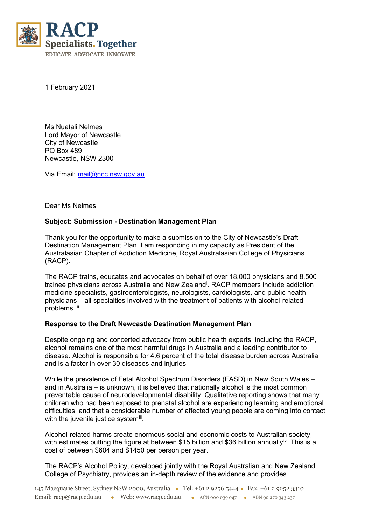

1 February 2021

Ms Nuatali Nelmes Lord Mayor of Newcastle City of Newcastle PO Box 489 Newcastle, NSW 2300

Via Email: [mail@ncc.nsw.gov.au](mailto:mail@ncc.nsw.gov.au)

Dear Ms Nelmes

## **Subject: Submission - Destination Management Plan**

Thank you for the opportunity to make a submission to the City of Newcastle's Draft Destination Management Plan. I am responding in my capacity as President of the Australasian Chapter of Addiction Medicine, Royal Australasian College of Physicians (RACP).

The RACP trains, educates and advocates on behalf of over 18,000 physicians and 8,500 tra[i](#page-1-0)nee physicians across Australia and New Zealand<sup>i</sup>. RACP members include addiction medicine specialists, gastroenterologists, neurologists, cardiologists, and public health physicians – all specialties involved with the treatment of patients with alcohol-related problems. [ii](#page-1-1)

## **Response to the Draft Newcastle Destination Management Plan**

Despite ongoing and concerted advocacy from public health experts, including the RACP, alcohol remains one of the most harmful drugs in Australia and a leading contributor to disease. Alcohol is responsible for 4.6 percent of the total disease burden across Australia and is a factor in over 30 diseases and injuries.

While the prevalence of Fetal Alcohol Spectrum Disorders (FASD) in New South Wales – and in Australia – is unknown, it is believed that nationally alcohol is the most common preventable cause of neurodevelopmental disability. Qualitative reporting shows that many children who had been exposed to prenatal alcohol are experiencing learning and emotional difficulties, and that a considerable number of affected young people are coming into contact with the juvenile justice system $\mathbf{m}$ .

<span id="page-0-0"></span>Alcohol-related harms create enormous social and economic costs to Australian society, with estimates putting the figure at between \$15 billion and \$36 billion annually<sup>iv</sup>. This is a cost of between \$604 and \$1450 per person per year.

The RACP's Alcohol Policy, developed jointly with the Royal Australian and New Zealand College of Psychiatry, provides an in-depth review of the evidence and provides